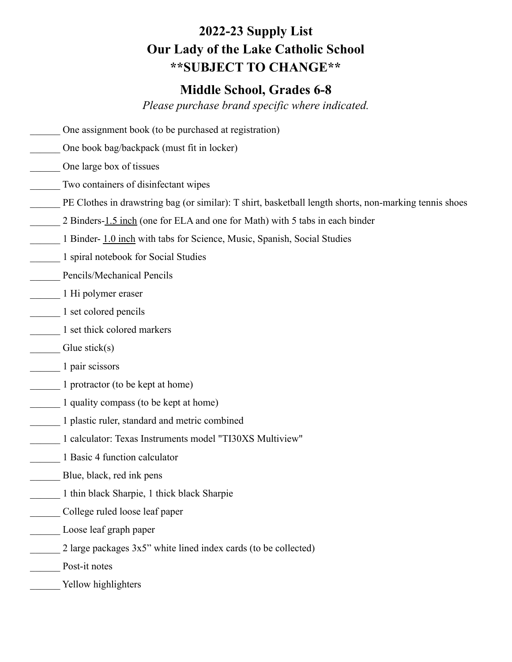## **2022-23 Supply List Our Lady of the Lake Catholic School \*\*SUBJECT TO CHANGE\*\***

## **Middle School, Grades 6-8**

*Please purchase brand specific where indicated.*

- One assignment book (to be purchased at registration)
- \_\_\_\_\_\_ One book bag/backpack (must fit in locker)
- \_\_\_\_\_\_ One large box of tissues
- \_\_\_\_\_\_ Two containers of disinfectant wipes
- PE Clothes in drawstring bag (or similar): T shirt, basketball length shorts, non-marking tennis shoes
- 2 Binders-1.5 inch (one for ELA and one for Math) with 5 tabs in each binder
- \_\_\_\_\_\_ 1 Binder- 1.0 inch with tabs for Science, Music, Spanish, Social Studies
- \_\_\_\_\_\_ 1 spiral notebook for Social Studies
- \_\_\_\_\_\_ Pencils/Mechanical Pencils
- \_\_\_\_\_\_ 1 Hi polymer eraser
- \_\_\_\_\_\_ 1 set colored pencils
- \_\_\_\_\_\_ 1 set thick colored markers
- Glue stick(s)
- \_\_\_\_\_\_ 1 pair scissors
- \_\_\_\_\_\_ 1 protractor (to be kept at home)
- \_\_\_\_\_\_ 1 quality compass (to be kept at home)
- \_\_\_\_\_\_ 1 plastic ruler, standard and metric combined
- \_\_\_\_\_\_ 1 calculator: Texas Instruments model "TI30XS Multiview"
- \_\_\_\_\_\_ 1 Basic 4 function calculator
- Blue, black, red ink pens
- \_\_\_\_\_\_ 1 thin black Sharpie, 1 thick black Sharpie
- \_\_\_\_\_\_ College ruled loose leaf paper
- Loose leaf graph paper
- 2 large packages  $3x5$ " white lined index cards (to be collected)
- \_\_\_\_\_\_ Post-it notes
- Yellow highlighters